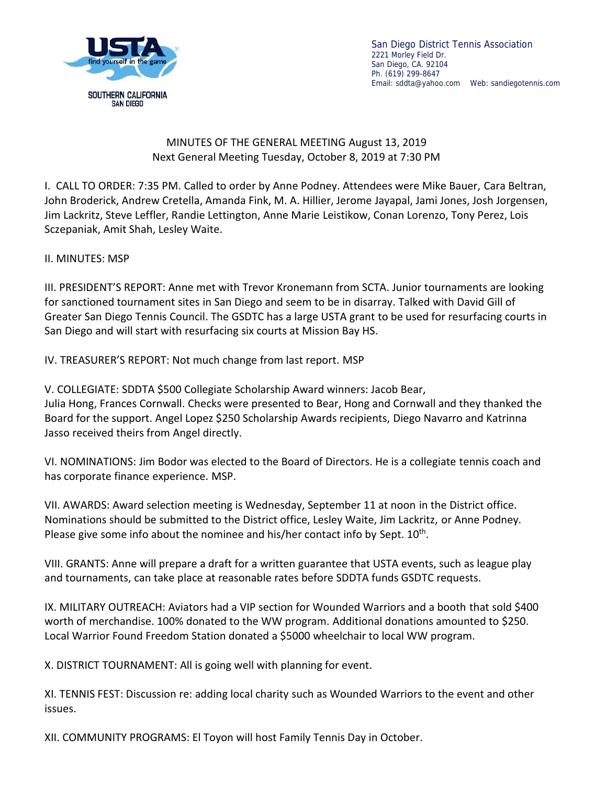

San Diego District Tennis Association 2221 Morley Field Dr. San Diego, CA. 92104 Ph. (619) 299-8647 Email: sddta@yahoo.com Web: sandiegotennis.com

## MINUTES OF THE GENERAL MEETING August 13, 2019 Next General Meeting Tuesday, October 8, 2019 at 7:30 PM

I. CALL TO ORDER: 7:35 PM. Called to order by Anne Podney. Attendees were Mike Bauer, Cara Beltran, John Broderick, Andrew Cretella, Amanda Fink, M. A. Hillier, Jerome Jayapal, Jami Jones, Josh Jorgensen, Jim Lackritz, Steve Leffler, Randie Lettington, Anne Marie Leistikow, Conan Lorenzo, Tony Perez, Lois Sczepaniak, Amit Shah, Lesley Waite.

II. MINUTES: MSP

III. PRESIDENT'S REPORT: Anne met with Trevor Kronemann from SCTA. Junior tournaments are looking for sanctioned tournament sites in San Diego and seem to be in disarray. Talked with David Gill of Greater San Diego Tennis Council. The GSDTC has a large USTA grant to be used for resurfacing courts in San Diego and will start with resurfacing six courts at Mission Bay HS.

IV. TREASURER'S REPORT: Not much change from last report. MSP

V. COLLEGIATE: SDDTA \$500 Collegiate Scholarship Award winners: Jacob Bear, Julia Hong, Frances Cornwall. Checks were presented to Bear, Hong and Cornwall and they thanked the Board for the support. Angel Lopez \$250 Scholarship Awards recipients, Diego Navarro and Katrinna Jasso received theirs from Angel directly.

VI. NOMINATIONS: Jim Bodor was elected to the Board of Directors. He is a collegiate tennis coach and has corporate finance experience. MSP.

VII. AWARDS: Award selection meeting is Wednesday, September 11 at noon in the District office. Nominations should be submitted to the District office, Lesley Waite, Jim Lackritz, or Anne Podney. Please give some info about the nominee and his/her contact info by Sept. 10<sup>th</sup>.

VIII. GRANTS: Anne will prepare a draft for a written guarantee that USTA events, such as league play and tournaments, can take place at reasonable rates before SDDTA funds GSDTC requests.

IX. MILITARY OUTREACH: Aviators had a VIP section for Wounded Warriors and a booth that sold \$400 worth of merchandise. 100% donated to the WW program. Additional donations amounted to \$250. Local Warrior Found Freedom Station donated a \$5000 wheelchair to local WW program.

X. DISTRICT TOURNAMENT: All is going well with planning for event.

XI. TENNIS FEST: Discussion re: adding local charity such as Wounded Warriors to the event and other issues.

XII. COMMUNITY PROGRAMS: El Toyon will host Family Tennis Day in October.